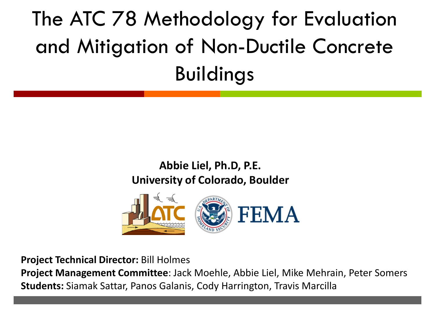## The ATC 78 Methodology for Evaluation and Mitigation of Non-Ductile Concrete Buildings

#### **Abbie Liel, Ph.D, P.E. University of Colorado, Boulder**



**Project Technical Director:** Bill Holmes **Project Management Committee**: Jack Moehle, Abbie Liel, Mike Mehrain, Peter Somers **Students:** Siamak Sattar, Panos Galanis, Cody Harrington, Travis Marcilla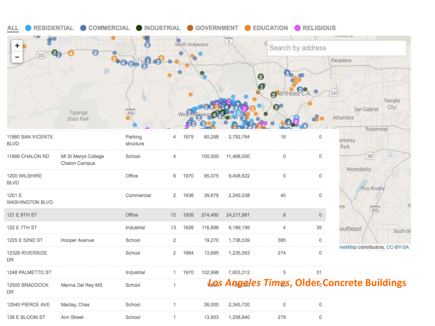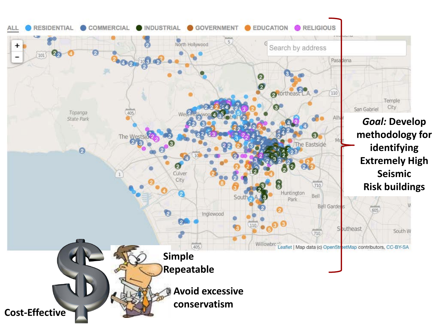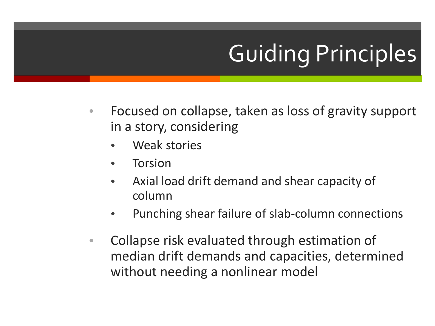# Guiding Principles

- Focused on collapse, taken as loss of gravity support in a story, considering
	- Weak stories
	- **Torsion**
	- Axial load drift demand and shear capacity of column
	- Punching shear failure of slab-column connections
- Collapse risk evaluated through estimation of median drift demands and capacities, determined without needing a nonlinear model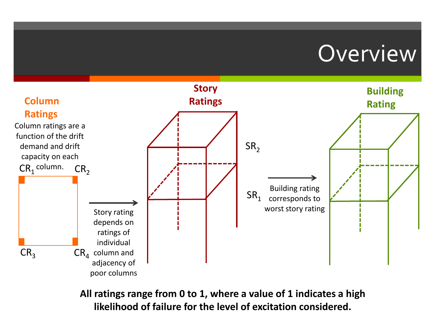#### **Overview**



**All ratings range from 0 to 1, where a value of 1 indicates a high likelihood of failure for the level of excitation considered.**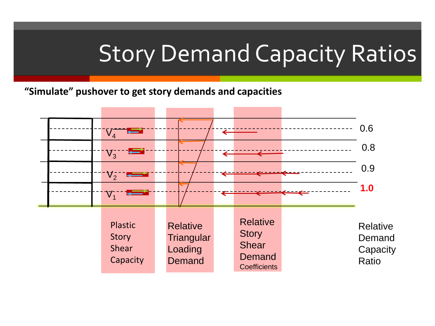#### Story Demand Capacity Ratios

**"Simulate" pushover to get story demands and capacities**

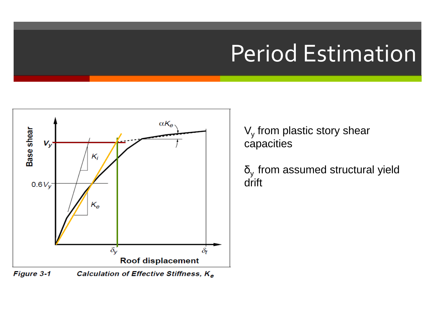#### Period Estimation



 $V<sub>y</sub>$  from plastic story shear capacities

 $\delta_{v}$  from assumed structural yield drift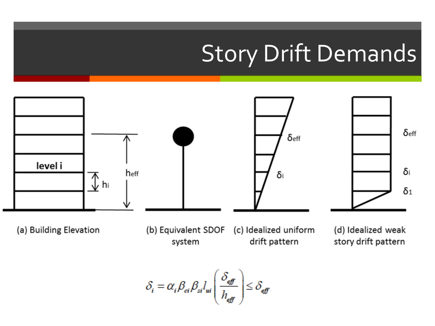#### Story Drift Demands



$$
\delta_i = \alpha_i \beta_{ci} \beta_{si} l_{ui} \left( \frac{\delta_{\text{eff}}}{h_{\text{eff}}} \right) \le \delta_{\text{eff}}
$$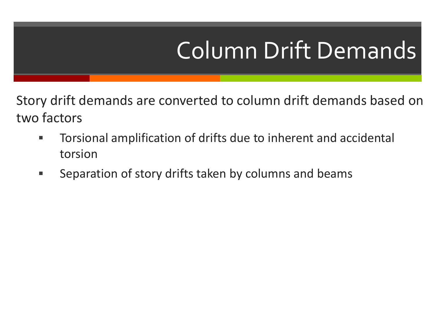# Column Drift Demands

Story drift demands are converted to column drift demands based on two factors

- Torsional amplification of drifts due to inherent and accidental torsion
- **Separation of story drifts taken by columns and beams**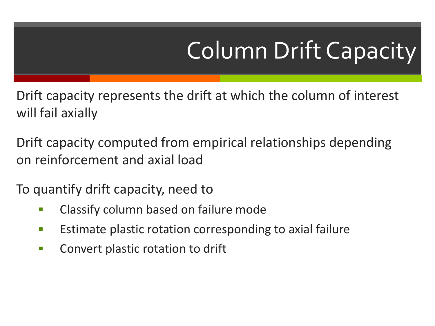# Column Drift Capacity

Drift capacity represents the drift at which the column of interest will fail axially

Drift capacity computed from empirical relationships depending on reinforcement and axial load

To quantify drift capacity, need to

- **EXED:** Classify column based on failure mode
- **Estimate plastic rotation corresponding to axial failure**
- **EXECONCT CONVET PLANA EXECUTE:** CONVERT plastic rotation to drift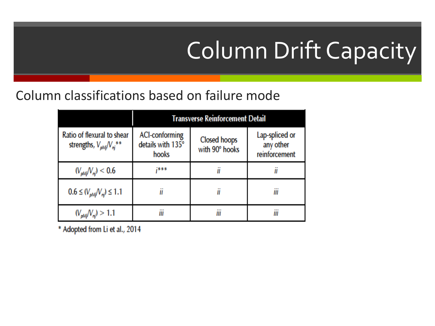# Column Drift Capacity

#### Column classifications based on failure mode

|                                                                            | Transverse Reinforcement Detail                     |                                       |                                              |  |
|----------------------------------------------------------------------------|-----------------------------------------------------|---------------------------------------|----------------------------------------------|--|
| Ratio of flexural to shear<br>strengths, $V_{\text{pM}j}/V_{\text{nj}}$ ** | <b>ACI-conforming</b><br>details with 135°<br>hooks | <b>Closed hoops</b><br>with 90° hooks | Lap-spliced or<br>any other<br>reinforcement |  |
| $(V_{\rm pM}/V_{\rm n})$ < 0.6                                             | 7888                                                | II                                    | Ш                                            |  |
| $0.6 \leq (V_{\text{dM}}/V_{\text{nl}}) \leq 1.1$                          |                                                     | iï                                    | <br>Ш                                        |  |
| $(V_{pMj}/V_{nj}) > 1.1$                                                   | Ш                                                   | <br>Ш                                 | Ш                                            |  |

\* Adopted from Li et al., 2014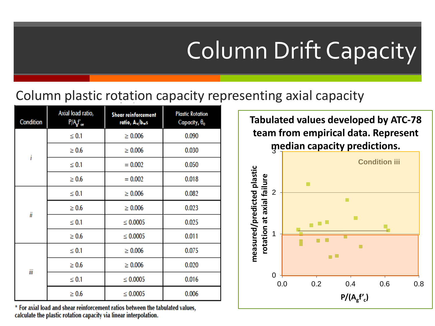# Column Drift Capacity

#### Column plastic rotation capacity representing axial capacity

| Condition | Axial load ratio,<br>P/A <sub>s</sub> f' <sub>ce</sub> | <b>Shear reinforcement</b><br>ratio, A <sub>v</sub> /b <sub>w</sub> s | <b>Plastic Rotation</b><br>Capacity, $\theta_c$ |
|-----------|--------------------------------------------------------|-----------------------------------------------------------------------|-------------------------------------------------|
| i         | $\leq 0.1$                                             | $\geq 0.006$                                                          | 0.090                                           |
|           | $\geq 0.6$                                             | $\geq 0.006$                                                          | 0.030                                           |
|           | $\leq 0.1$                                             | $= 0.002$                                                             | 0.050                                           |
|           | $\geq 0.6$                                             | $= 0.002$                                                             | 0.018                                           |
| iï        | $\leq 0.1$                                             | $\geq 0.006$                                                          | 0.082                                           |
|           | $\geq 0.6$                                             | $\geq 0.006$                                                          | 0.023                                           |
|           | $\leq 0.1$                                             | $\leq 0.0005$                                                         | 0.025                                           |
|           | $\geq 0.6$                                             | $\leq 0.0005$                                                         | 0.011                                           |
| ΪÏ        | $\leq 0.1$                                             | $\geq 0.006$                                                          | 0.075                                           |
|           | $\geq 0.6$                                             | $\geq 0.006$                                                          | 0.020                                           |
|           | $\leq 0.1$                                             | $\leq 0.0005$                                                         | 0.016                                           |
|           | $\geq 0.6$                                             | $\leq 0.0005$                                                         | 0.006                                           |

\* For axial load and shear reinforcement ratios between the tabulated values, calculate the plastic rotation capacity via linear interpolation.

3 **median capacity predictions. Tabulated values developed by ATC-78 team from empirical data. Represent** 

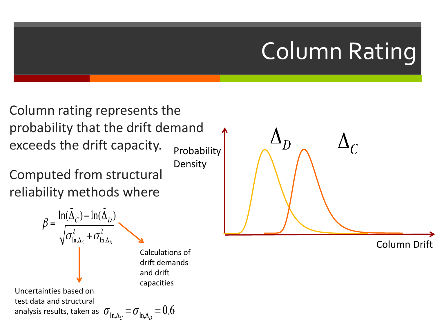# Column Rating

Column rating represents the probability that the drift demand exceeds the drift capacity. Probability

Density

Computed from structural reliability methods where





Column Drift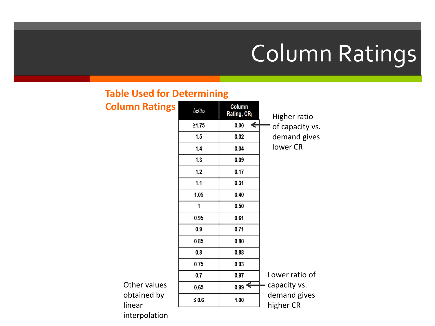# Column Ratings

#### **Table Used for Determining**

| <b>Column Ratings</b> | $\Delta c/\Delta_D$ | Column<br>Rating, CR <sub>j</sub> | Higher ratio              |
|-----------------------|---------------------|-----------------------------------|---------------------------|
|                       | 21.75               | 0.00                              | of capacity vs.           |
|                       | 1.5                 | 0.02                              | demand gives              |
|                       | 1.4                 | 0.04                              | lower CR                  |
|                       | 1.3                 | 0.09                              |                           |
|                       | 1.2                 | 0.17                              |                           |
|                       | 1.1                 | 0.31                              |                           |
|                       | 1.05                | 0.40                              |                           |
|                       | 1                   | 0.50                              |                           |
|                       | 0.95                | 0.61                              |                           |
|                       | 0.9                 | 0.71                              |                           |
|                       | 0.85                | 0.80                              |                           |
|                       | 0.8                 | 0.88                              |                           |
|                       | 0.75                | 0.93                              |                           |
|                       | 0.7                 | 0.97                              | Lower ratio of            |
| Other values          | 0.65                | $_{0.99}$ $\leftarrow$            | capacity vs.              |
| obtained by<br>linear | $\leq 0.6$          | 1.00                              | demand gives<br>higher CR |

interpolation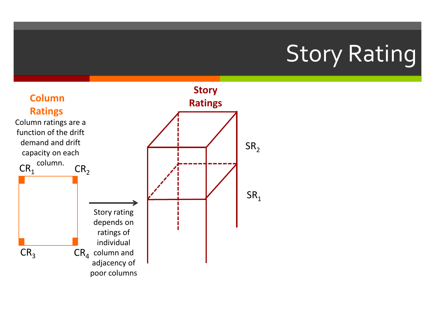## Story Rating

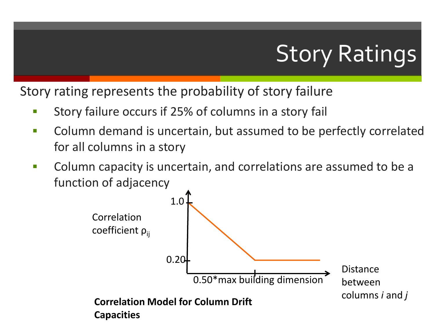# Story Ratings

Story rating represents the probability of story failure

- **Story failure occurs if 25% of columns in a story fail**
- **EXP** Column demand is uncertain, but assumed to be perfectly correlated for all columns in a story
- **Column capacity is uncertain, and correlations are assumed to be a** function of adjacency

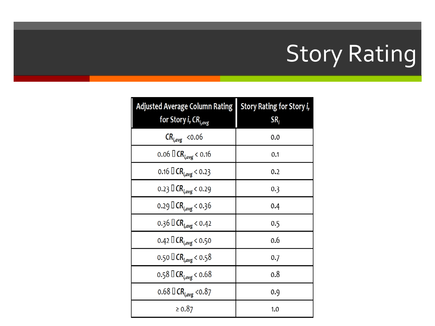# Story Rating

| <b>Adjusted Average Column Rating</b><br>for Story i, CR <sub>i,avg</sub> | Story Rating for Story i,<br>SR <sub>i</sub> |  |
|---------------------------------------------------------------------------|----------------------------------------------|--|
| $CR_{i,avg}$ <0.06                                                        | 0.0                                          |  |
| 0.06 $\Box$ CR <sub>i,avg</sub> < 0.16                                    | 0.1                                          |  |
| 0.16 $\Box$ CR <sub>i,avg</sub> < 0.23                                    | 0.2                                          |  |
| 0.23 $\Box$ CR <sub>i,avg</sub> < 0.29                                    | 0.3                                          |  |
| 0.29 $\Box$ CR <sub>i,avg</sub> < 0.36                                    | 0.4                                          |  |
| 0.36 $\Box$ CR <sub>Lavg</sub> < 0.42                                     | 0.5                                          |  |
| 0.42 $\Box$ CR <sub>i,avg</sub> < 0.50                                    | 0.6                                          |  |
| 0.50 $\Box$ CR <sub>Lavg</sub> < 0.58                                     | 0.7                                          |  |
| 0.58 $\Box$ CR <sub>i,avg</sub> < 0.68                                    | 0.8                                          |  |
| 0.68 $\Box$ CR <sub>i,avg</sub> < 0.87                                    | 0.9                                          |  |
| $\ge 0.87$                                                                | 1.0                                          |  |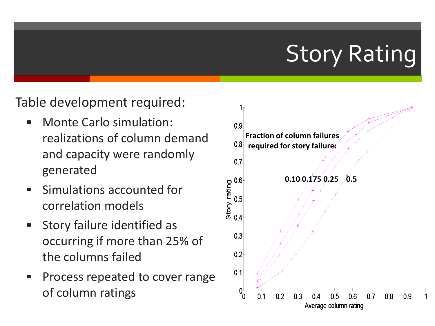## Story Rating

#### Table development required:

- Monte Carlo simulation: realizations of column demand and capacity were randomly generated
- Simulations accounted for correlation models
- **Story failure identified as** occurring if more than 25% of the columns failed
- Process repeated to cover range of column ratings

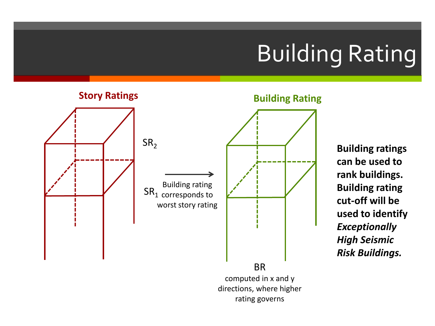# Building Rating



**Building ratings can be used to rank buildings. Building rating cut-off will be used to identify**  *Exceptionally High Seismic Risk Buildings.*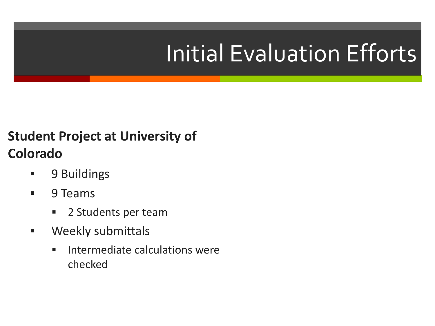# Initial Evaluation Efforts

#### **Student Project at University of Colorado**

- **9 Buildings**
- **9 Teams** 
	- **2 Students per team**
- **Neekly submittals** 
	- **Intermediate calculations were** checked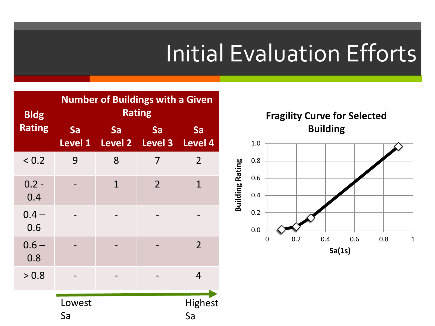## Initial Evaluation Efforts

0.0

**Building Rating**

**Building Rating** 

| <b>Bldg</b>    | <b>Number of Buildings with a Given</b><br><b>Rating</b> |              |                                       |                      |
|----------------|----------------------------------------------------------|--------------|---------------------------------------|----------------------|
| <b>Rating</b>  | Sa                                                       | Sa           | Sa<br>Level 1 Level 2 Level 3 Level 4 | Sa                   |
| ${}_{0.2}$     | 9                                                        | 8            | 7                                     | $\overline{2}$       |
| $0.2 -$<br>0.4 |                                                          | $\mathbf{1}$ | $\overline{2}$                        | $\mathbf{1}$         |
| $0.4 -$<br>0.6 |                                                          |              |                                       |                      |
| $0.6 -$<br>0.8 |                                                          |              |                                       | $\overline{2}$       |
| > 0.8          |                                                          |              |                                       | 4                    |
|                | Lowest<br>Sa                                             |              |                                       | <b>Highest</b><br>Sa |

0.2 0.4 0.6 0.8 1.0 **Fragility Curve for Selected Building**

0 0.2 0.4 0.6 0.8 1

**Sa(1s)**